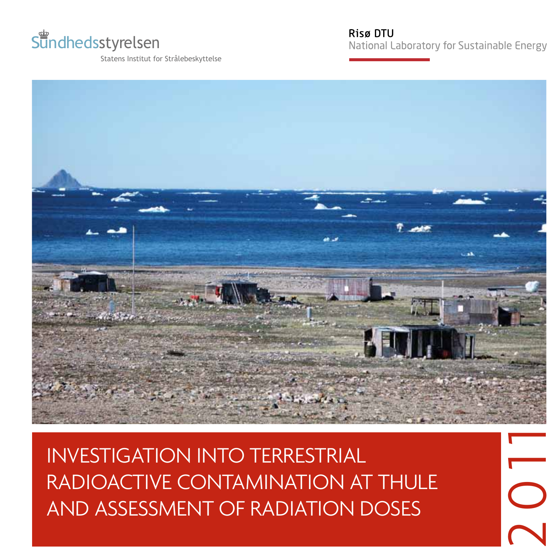

Statens Institut for Strålebeskyttelse

**Risø DTU** 

National Laboratory for Sustainable Energy



**INVESTIGATION INTO TERRESTRIAL** RADIOACTIVE CONTAMINATION AT THULE AND ASSESSMENT OF RADIATION DOSES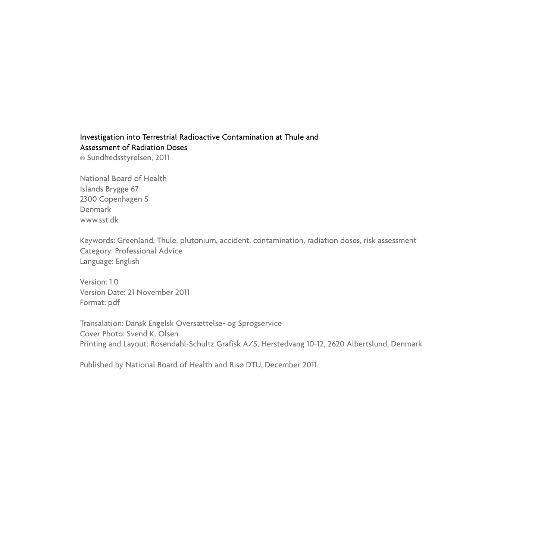# Investigation into Terrestrial Radioactive Contamination at Thule and Assessment of Radiation Doses

© Sundhedsstyrelsen, 2011

National Board of Health Islands Brygge 67 2300 Copenhagen S Denmark www.sst.dk

Keywords: Greenland, Thule, plutonium, accident, contamination, radiation doses, risk assessment Category: Professional Advice Language: English

Version: 1.0 Version Date: 21 November 2011 Format: pdf

Transalation: Dansk Engelsk Oversættelse- og Sprogservice Cover Photo: Svend K. Olsen Printing and Layout: Rosendahl-Schultz Grafisk A/S, Herstedvang 10-12, 2620 Albertslund, Denmark

Published by National Board of Health and Risø DTU, December 2011.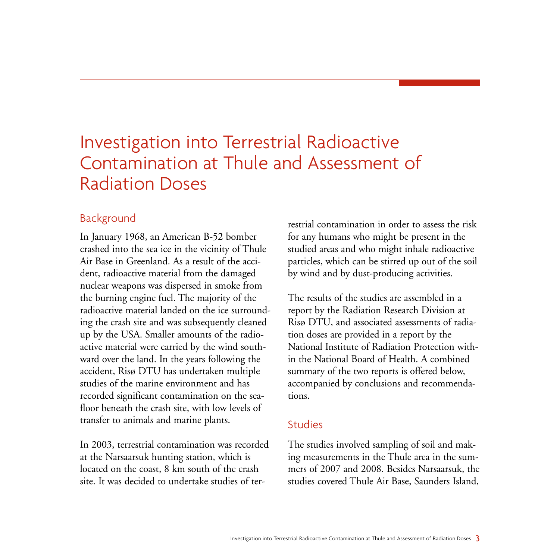# Investigation into Terrestrial Radioactive Contamination at Thule and Assessment of Radiation Doses

# Background

In January 1968, an American B-52 bomber crashed into the sea ice in the vicinity of Thule Air Base in Greenland. As a result of the accident, radioactive material from the damaged nuclear weapons was dispersed in smoke from the burning engine fuel. The majority of the radioactive material landed on the ice surrounding the crash site and was subsequently cleaned up by the USA. Smaller amounts of the radioactive material were carried by the wind southward over the land. In the years following the accident, Risø DTU has undertaken multiple studies of the marine environment and has recorded significant contamination on the seafloor beneath the crash site, with low levels of transfer to animals and marine plants.

In 2003, terrestrial contamination was recorded at the Narsaarsuk hunting station, which is located on the coast, 8 km south of the crash site. It was decided to undertake studies of terrestrial contamination in order to assess the risk for any humans who might be present in the studied areas and who might inhale radioactive particles, which can be stirred up out of the soil by wind and by dust-producing activities.

The results of the studies are assembled in a report by the Radiation Research Division at Risø DTU, and associated assessments of radiation doses are provided in a report by the National Institute of Radiation Protection within the National Board of Health. A combined summary of the two reports is offered below, accompanied by conclusions and recommendations.

## Studies

The studies involved sampling of soil and making measurements in the Thule area in the summers of 2007 and 2008. Besides Narsaarsuk, the studies covered Thule Air Base, Saunders Island,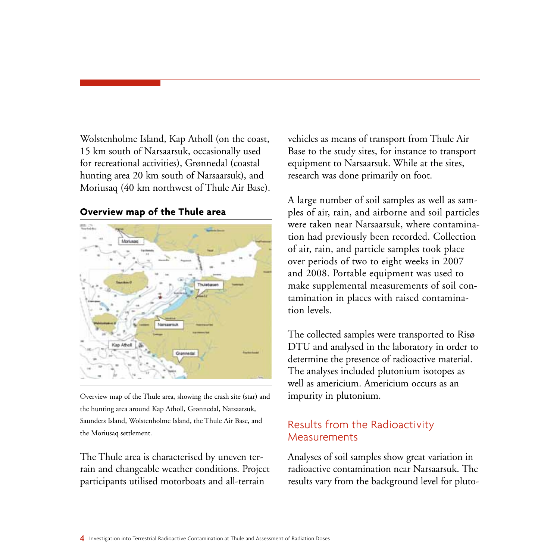Wolstenholme Island, Kap Atholl (on the coast, 15 km south of Narsaarsuk, occasionally used for recreational activities), Grønnedal (coastal hunting area 20 km south of Narsaarsuk), and Moriusaq (40 km northwest of Thule Air Base).

#### **Overview map of the Thule area**



Overview map of the Thule area, showing the crash site (star) and the hunting area around Kap Atholl, Grønnedal, Narsaarsuk, Saunders Island, Wolstenholme Island, the Thule Air Base, and the Moriusaq settlement.

The Thule area is characterised by uneven terrain and changeable weather conditions. Project participants utilised motorboats and all-terrain

vehicles as means of transport from Thule Air Base to the study sites, for instance to transport equipment to Narsaarsuk. While at the sites, research was done primarily on foot.

A large number of soil samples as well as samples of air, rain, and airborne and soil particles were taken near Narsaarsuk, where contamination had previously been recorded. Collection of air, rain, and particle samples took place over periods of two to eight weeks in 2007 and 2008. Portable equipment was used to make supplemental measurements of soil contamination in places with raised contamination levels.

The collected samples were transported to Risø DTU and analysed in the laboratory in order to determine the presence of radioactive material. The analyses included plutonium isotopes as well as americium. Americium occurs as an impurity in plutonium.

# Results from the Radioactivity Measurements

Analyses of soil samples show great variation in radioactive contamination near Narsaarsuk. The results vary from the background level for pluto-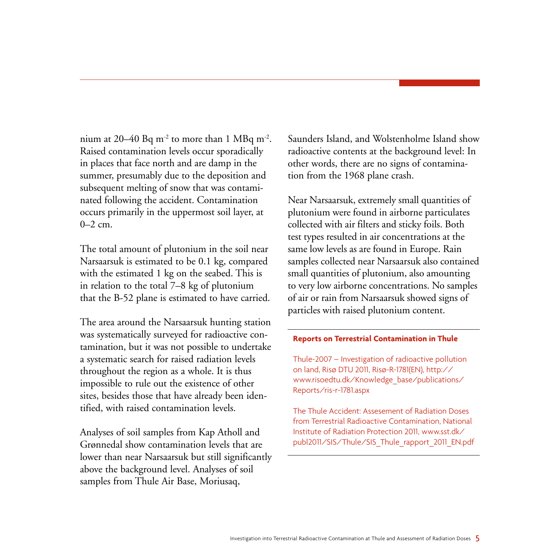nium at 20–40 Bq m<sup>-2</sup> to more than 1 MBq m<sup>-2</sup>. Raised contamination levels occur sporadically in places that face north and are damp in the summer, presumably due to the deposition and subsequent melting of snow that was contaminated following the accident. Contamination occurs primarily in the uppermost soil layer, at  $0-2$  cm.

The total amount of plutonium in the soil near Narsaarsuk is estimated to be 0.1 kg, compared with the estimated 1 kg on the seabed. This is in relation to the total 7–8 kg of plutonium that the B-52 plane is estimated to have carried.

The area around the Narsaarsuk hunting station was systematically surveyed for radioactive contamination, but it was not possible to undertake a systematic search for raised radiation levels throughout the region as a whole. It is thus impossible to rule out the existence of other sites, besides those that have already been identified, with raised contamination levels.

Analyses of soil samples from Kap Atholl and Grønnedal show contamination levels that are lower than near Narsaarsuk but still significantly above the background level. Analyses of soil samples from Thule Air Base, Moriusaq,

Saunders Island, and Wolstenholme Island show radioactive contents at the background level: In other words, there are no signs of contamination from the 1968 plane crash.

Near Narsaarsuk, extremely small quantities of plutonium were found in airborne particulates collected with air filters and sticky foils. Both test types resulted in air concentrations at the same low levels as are found in Europe. Rain samples collected near Narsaarsuk also contained small quantities of plutonium, also amounting to very low airborne concentrations. No samples of air or rain from Narsaarsuk showed signs of particles with raised plutonium content.

#### **Reports on Terrestrial Contamination in Thule**

Thule-2007 – Investigation of radioactive pollution on land, Risø DTU 2011, Risø-R-1781(EN), http:// www.risoedtu.dk/Knowledge\_base/publications/ Reports/ris-r-1781.aspx

The Thule Accident: Assesement of Radiation Doses from Terrestrial Radioactive Contamination, National Institute of Radiation Protection 2011, www.sst.dk/ publ2011/SIS/Thule/SIS\_Thule\_rapport\_2011\_EN.pdf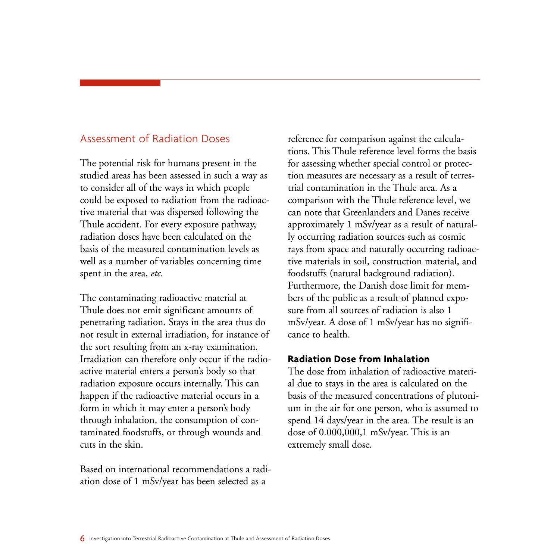# Assessment of Radiation Doses

The potential risk for humans present in the studied areas has been assessed in such a way as to consider all of the ways in which people could be exposed to radiation from the radioactive material that was dispersed following the Thule accident. For every exposure pathway, radiation doses have been calculated on the basis of the measured contamination levels as well as a number of variables concerning time spent in the area, *etc.*

The contaminating radioactive material at Thule does not emit significant amounts of penetrating radiation. Stays in the area thus do not result in external irradiation, for instance of the sort resulting from an x-ray examination. Irradiation can therefore only occur if the radioactive material enters a person's body so that radiation exposure occurs internally. This can happen if the radioactive material occurs in a form in which it may enter a person's body through inhalation, the consumption of contaminated foodstuffs, or through wounds and cuts in the skin.

Based on international recommendations a radiation dose of 1 mSv/year has been selected as a

reference for comparison against the calculations. This Thule reference level forms the basis for assessing whether special control or protection measures are necessary as a result of terrestrial contamination in the Thule area. As a comparison with the Thule reference level, we can note that Greenlanders and Danes receive approximately 1 mSv/year as a result of naturally occurring radiation sources such as cosmic rays from space and naturally occurring radioactive materials in soil, construction material, and foodstuffs (natural background radiation). Furthermore, the Danish dose limit for members of the public as a result of planned exposure from all sources of radiation is also 1 mSv/year. A dose of 1 mSv/year has no significance to health.

#### **Radiation Dose from Inhalation**

The dose from inhalation of radioactive material due to stays in the area is calculated on the basis of the measured concentrations of plutonium in the air for one person, who is assumed to spend 14 days/year in the area. The result is an dose of 0.000,000,1 mSv/year. This is an extremely small dose.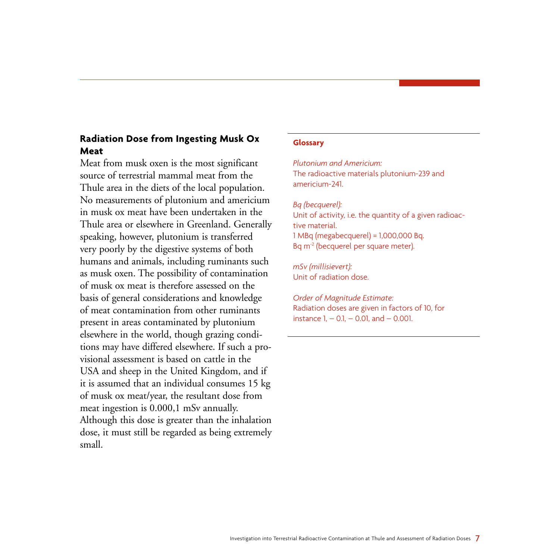## **Radiation Dose from Ingesting Musk Ox Meat**

Meat from musk oxen is the most significant source of terrestrial mammal meat from the Thule area in the diets of the local population. No measurements of plutonium and americium in musk ox meat have been undertaken in the Thule area or elsewhere in Greenland. Generally speaking, however, plutonium is transferred very poorly by the digestive systems of both humans and animals, including ruminants such as musk oxen. The possibility of contamination of musk ox meat is therefore assessed on the basis of general considerations and knowledge of meat contamination from other ruminants present in areas contaminated by plutonium elsewhere in the world, though grazing conditions may have differed elsewhere. If such a provisional assessment is based on cattle in the USA and sheep in the United Kingdom, and if it is assumed that an individual consumes 15 kg of musk ox meat/year, the resultant dose from meat ingestion is 0.000,1 mSv annually. Although this dose is greater than the inhalation dose, it must still be regarded as being extremely small.

#### **Glossary**

*Plutonium and Americium:* The radioactive materials plutonium-239 and americium-241.

*Bq (becquerel):* Unit of activity, i.e. the quantity of a given radioactive material. 1 MBq (megabecquerel) = 1,000,000 Bq. Bq m-2 (becquerel per square meter).

*mSv (millisievert):* Unit of radiation dose.

*Order of Magnitude Estimate:* Radiation doses are given in factors of 10, for instance  $1 - 0.1 - 0.01$ , and  $- 0.001$ .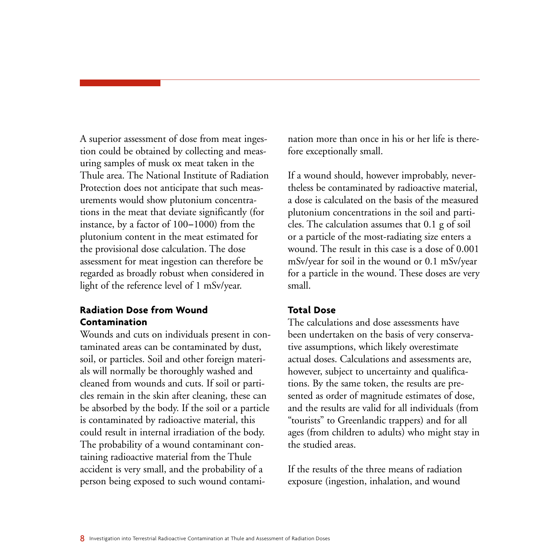A superior assessment of dose from meat ingestion could be obtained by collecting and measuring samples of musk ox meat taken in the Thule area. The National Institute of Radiation Protection does not anticipate that such measurements would show plutonium concentrations in the meat that deviate significantly (for instance, by a factor of 100-1000) from the plutonium content in the meat estimated for the provisional dose calculation. The dose assessment for meat ingestion can therefore be regarded as broadly robust when considered in light of the reference level of 1 mSv/year.

#### **Radiation Dose from Wound Contamination**

Wounds and cuts on individuals present in contaminated areas can be contaminated by dust, soil, or particles. Soil and other foreign materials will normally be thoroughly washed and cleaned from wounds and cuts. If soil or particles remain in the skin after cleaning, these can be absorbed by the body. If the soil or a particle is contaminated by radioactive material, this could result in internal irradiation of the body. The probability of a wound contaminant containing radioactive material from the Thule accident is very small, and the probability of a person being exposed to such wound contami-

nation more than once in his or her life is therefore exceptionally small.

If a wound should, however improbably, nevertheless be contaminated by radioactive material, a dose is calculated on the basis of the measured plutonium concentrations in the soil and particles. The calculation assumes that 0.1 g of soil or a particle of the most-radiating size enters a wound. The result in this case is a dose of 0.001 mSv/year for soil in the wound or 0.1 mSv/year for a particle in the wound. These doses are very small.

#### **Total Dose**

The calculations and dose assessments have been undertaken on the basis of very conservative assumptions, which likely overestimate actual doses. Calculations and assessments are, however, subject to uncertainty and qualifications. By the same token, the results are presented as order of magnitude estimates of dose, and the results are valid for all individuals (from "tourists" to Greenlandic trappers) and for all ages (from children to adults) who might stay in the studied areas.

If the results of the three means of radiation exposure (ingestion, inhalation, and wound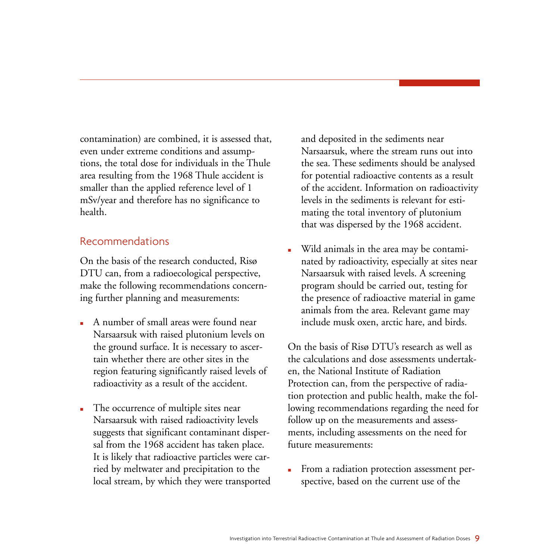contamination) are combined, it is assessed that, even under extreme conditions and assumptions, the total dose for individuals in the Thule area resulting from the 1968 Thule accident is smaller than the applied reference level of 1 mSv/year and therefore has no significance to health.

#### Recommendations

On the basis of the research conducted, Risø DTU can, from a radioecological perspective, make the following recommendations concerning further planning and measurements:

- A number of small areas were found near Narsaarsuk with raised plutonium levels on the ground surface. It is necessary to ascertain whether there are other sites in the region featuring significantly raised levels of radioactivity as a result of the accident.
- The occurrence of multiple sites near Narsaarsuk with raised radioactivity levels suggests that significant contaminant dispersal from the 1968 accident has taken place. It is likely that radioactive particles were carried by meltwater and precipitation to the local stream, by which they were transported

and deposited in the sediments near Narsaarsuk, where the stream runs out into the sea. These sediments should be analysed for potential radioactive contents as a result of the accident. Information on radioactivity levels in the sediments is relevant for estimating the total inventory of plutonium that was dispersed by the 1968 accident.

 Wild animals in the area may be contaminated by radioactivity, especially at sites near Narsaarsuk with raised levels. A screening program should be carried out, testing for the presence of radioactive material in game animals from the area. Relevant game may include musk oxen, arctic hare, and birds.

On the basis of Risø DTU's research as well as the calculations and dose assessments undertaken, the National Institute of Radiation Protection can, from the perspective of radiation protection and public health, make the following recommendations regarding the need for follow up on the measurements and assessments, including assessments on the need for future measurements:

From a radiation protection assessment perspective, based on the current use of the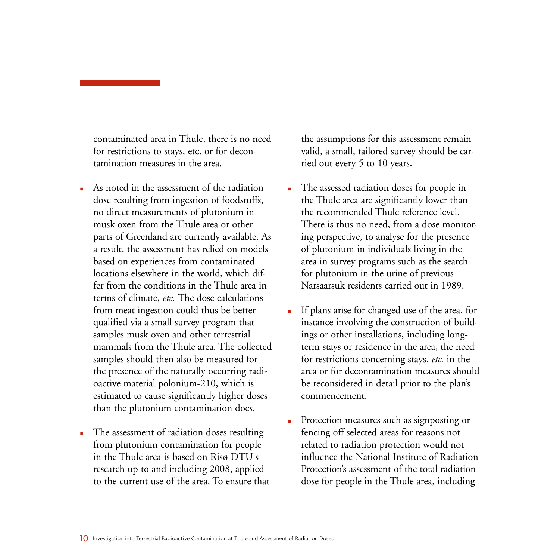contaminated area in Thule, there is no need for restrictions to stays, etc. or for decontamination measures in the area.

- As noted in the assessment of the radiation dose resulting from ingestion of foodstuffs, no direct measurements of plutonium in musk oxen from the Thule area or other parts of Greenland are currently available. As a result, the assessment has relied on models based on experiences from contaminated locations elsewhere in the world, which differ from the conditions in the Thule area in terms of climate, *etc.* The dose calculations from meat ingestion could thus be better qualified via a small survey program that samples musk oxen and other terrestrial mammals from the Thule area. The collected samples should then also be measured for the presence of the naturally occurring radioactive material polonium-210, which is estimated to cause significantly higher doses than the plutonium contamination does.
- The assessment of radiation doses resulting from plutonium contamination for people in the Thule area is based on Risø DTU's research up to and including 2008, applied to the current use of the area. To ensure that

the assumptions for this assessment remain valid, a small, tailored survey should be carried out every 5 to 10 years.

- The assessed radiation doses for people in the Thule area are significantly lower than the recommended Thule reference level. There is thus no need, from a dose monitoring perspective, to analyse for the presence of plutonium in individuals living in the area in survey programs such as the search for plutonium in the urine of previous Narsaarsuk residents carried out in 1989.
- If plans arise for changed use of the area, for instance involving the construction of buildings or other installations, including longterm stays or residence in the area, the need for restrictions concerning stays, *etc.* in the area or for decontamination measures should be reconsidered in detail prior to the plan's commencement.
- **Protection measures such as signposting or** fencing off selected areas for reasons not related to radiation protection would not influence the National Institute of Radiation Protection's assessment of the total radiation dose for people in the Thule area, including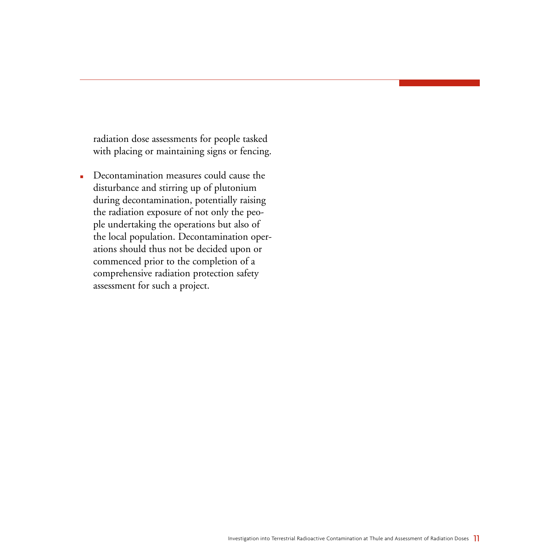radiation dose assessments for people tasked with placing or maintaining signs or fencing.

Decontamination measures could cause the disturbance and stirring up of plutonium during decontamination, potentially raising the radiation exposure of not only the people undertaking the operations but also of the local population. Decontamination operations should thus not be decided upon or commenced prior to the completion of a comprehensive radiation protection safety assessment for such a project.